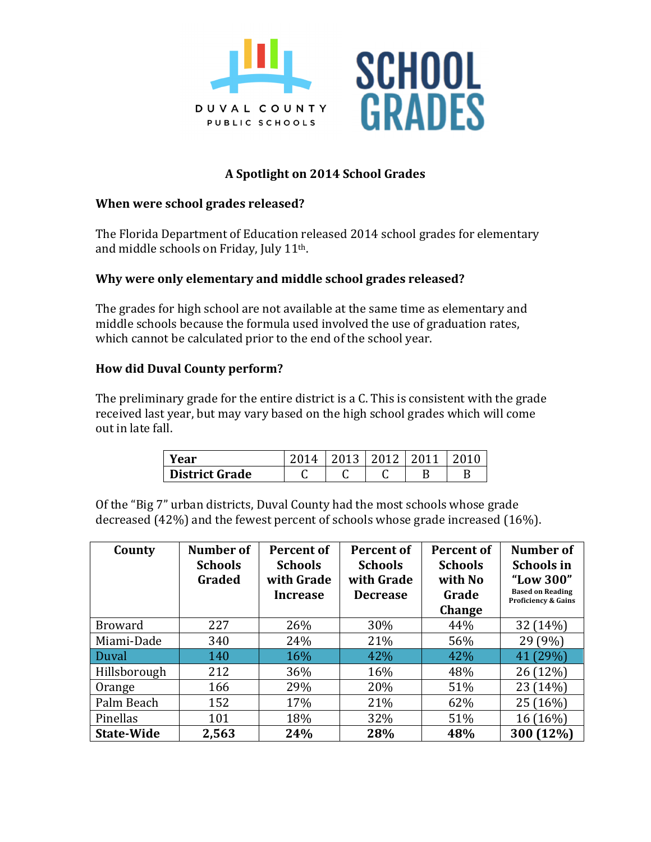



# A Spotlight on 2014 School Grades

#### **When were school grades released?**

The Florida Department of Education released 2014 school grades for elementary and middle schools on Friday, July  $11<sup>th</sup>$ .

## **Why were only elementary and middle school grades released?**

The grades for high school are not available at the same time as elementary and middle schools because the formula used involved the use of graduation rates, which cannot be calculated prior to the end of the school year.

## **How did Duval County perform?**

The preliminary grade for the entire district is a C. This is consistent with the grade received last year, but may vary based on the high school grades which will come out in late fall.

| Year                  | $\Lambda$ |   | 201 |  |
|-----------------------|-----------|---|-----|--|
| <b>District Grade</b> | ◡         | ັ |     |  |

Of the "Big 7" urban districts, Duval County had the most schools whose grade decreased  $(42\%)$  and the fewest percent of schools whose grade increased  $(16\%)$ .

| County            | Number of<br><b>Schools</b><br>Graded | <b>Percent of</b><br><b>Schools</b><br>with Grade<br><b>Increase</b> | <b>Percent of</b><br><b>Schools</b><br>with Grade<br><b>Decrease</b> | <b>Percent of</b><br><b>Schools</b><br>with No<br>Grade<br>Change | Number of<br><b>Schools in</b><br>"Low 300"<br><b>Based on Reading</b><br><b>Proficiency &amp; Gains</b> |
|-------------------|---------------------------------------|----------------------------------------------------------------------|----------------------------------------------------------------------|-------------------------------------------------------------------|----------------------------------------------------------------------------------------------------------|
| <b>Broward</b>    | 227                                   | 26%                                                                  | 30%                                                                  | 44%                                                               | 32 (14%)                                                                                                 |
| Miami-Dade        | 340                                   | 24%                                                                  | 21%                                                                  | 56%                                                               | 29 (9%)                                                                                                  |
| Duval             | 140                                   | 16%                                                                  | 42%                                                                  | 42%                                                               | 41 (29%)                                                                                                 |
| Hillsborough      | 212                                   | 36%                                                                  | 16%                                                                  | 48%                                                               | 26 (12%)                                                                                                 |
| Orange            | 166                                   | 29%                                                                  | 20%                                                                  | 51%                                                               | 23 (14%)                                                                                                 |
| Palm Beach        | 152                                   | 17%                                                                  | 21%                                                                  | 62%                                                               | 25 (16%)                                                                                                 |
| Pinellas          | 101                                   | 18%                                                                  | 32%                                                                  | 51%                                                               | 16 (16%)                                                                                                 |
| <b>State-Wide</b> | 2,563                                 | 24%                                                                  | 28%                                                                  | 48%                                                               | 300 (12%)                                                                                                |